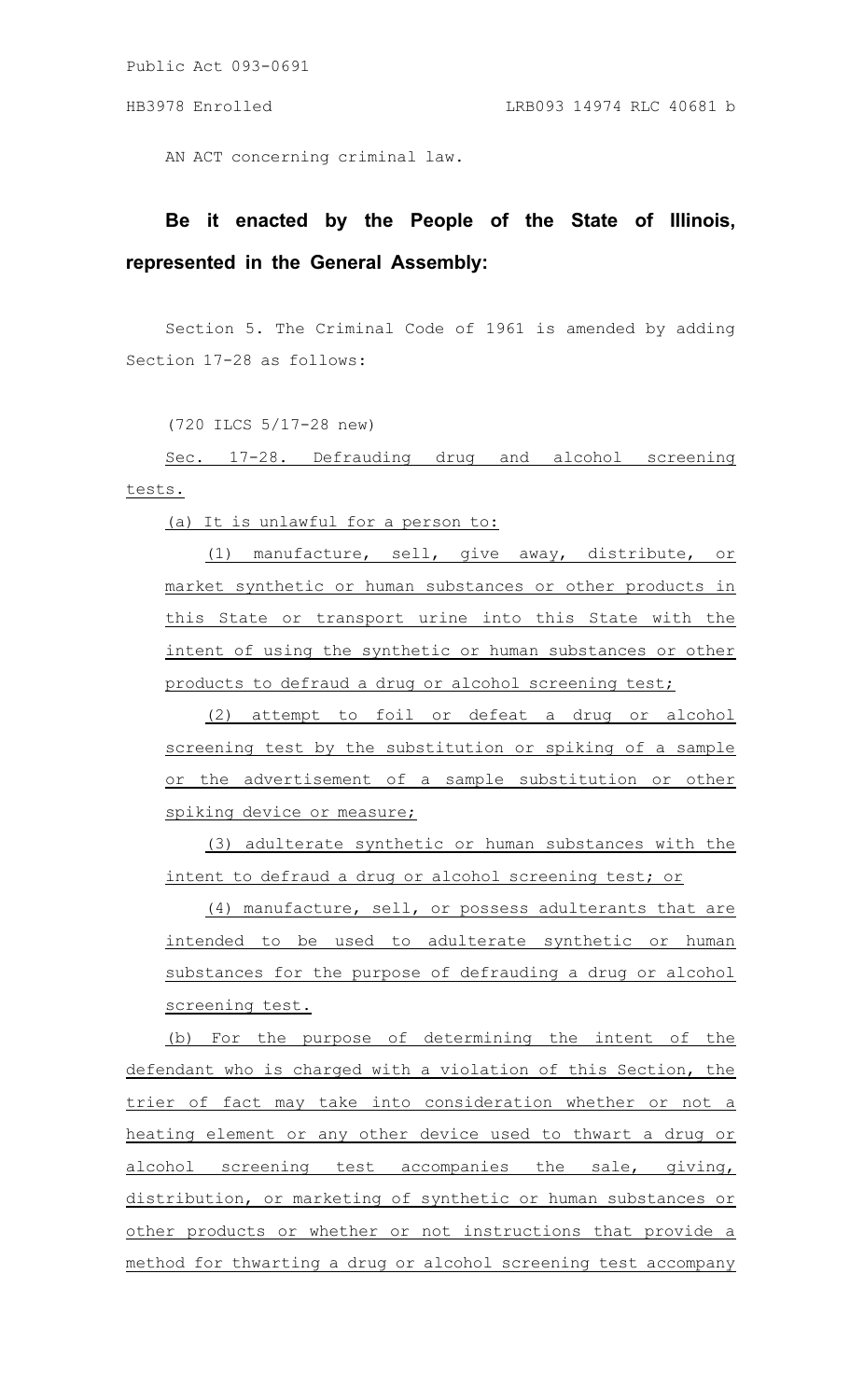Public Act 093-0691

AN ACT concerning criminal law.

## **Be it enacted by the People of the State of Illinois, represented in the General Assembly:**

Section 5. The Criminal Code of 1961 is amended by adding Section 17-28 as follows:

(720 ILCS 5/17-28 new)

Sec. 17-28. Defrauding drug and alcohol screening tests.

(a) It is unlawful for a person to:

(1) manufacture, sell, give away, distribute, or market synthetic or human substances or other products in this State or transport urine into this State with the intent of using the synthetic or human substances or other products to defraud a drug or alcohol screening test;

(2) attempt to foil or defeat a drug or alcohol screening test by the substitution or spiking of a sample or the advertisement of a sample substitution or other spiking device or measure;

(3) adulterate synthetic or human substances with the intent to defraud a drug or alcohol screening test; or

(4) manufacture, sell, or possess adulterants that are intended to be used to adulterate synthetic or human substances for the purpose of defrauding a drug or alcohol screening test.

(b) For the purpose of determining the intent of the defendant who is charged with a violation of this Section, the trier of fact may take into consideration whether or not a heating element or any other device used to thwart a drug or alcohol screening test accompanies the sale, giving, distribution, or marketing of synthetic or human substances or other products or whether or not instructions that provide a method for thwarting a drug or alcohol screening test accompany